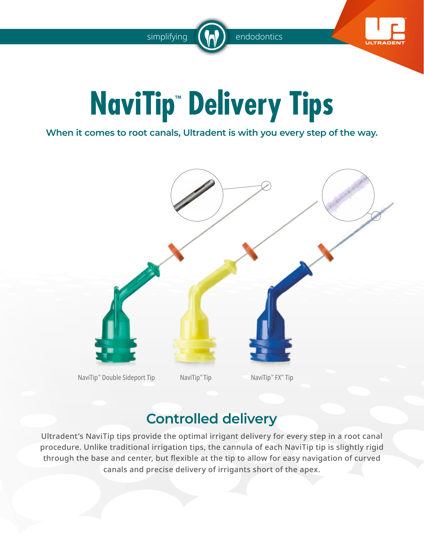simplifying  $\left(\begin{array}{c} \bullet \\ \bullet \end{array}\right)$  endodontics



# **NaviTip™ Delivery Tips**

**When it comes to root canals, Ultradent is with you every step of the way.**



### **Controlled delivery**

Ultradent's NaviTip tips provide the optimal irrigant delivery for every step in a root canal procedure. Unlike traditional irrigation tips, the cannula of each NaviTip tip is slightly rigid through the base and center, but flexible at the tip to allow for easy navigation of curved canals and precise delivery of irrigants short of the apex.